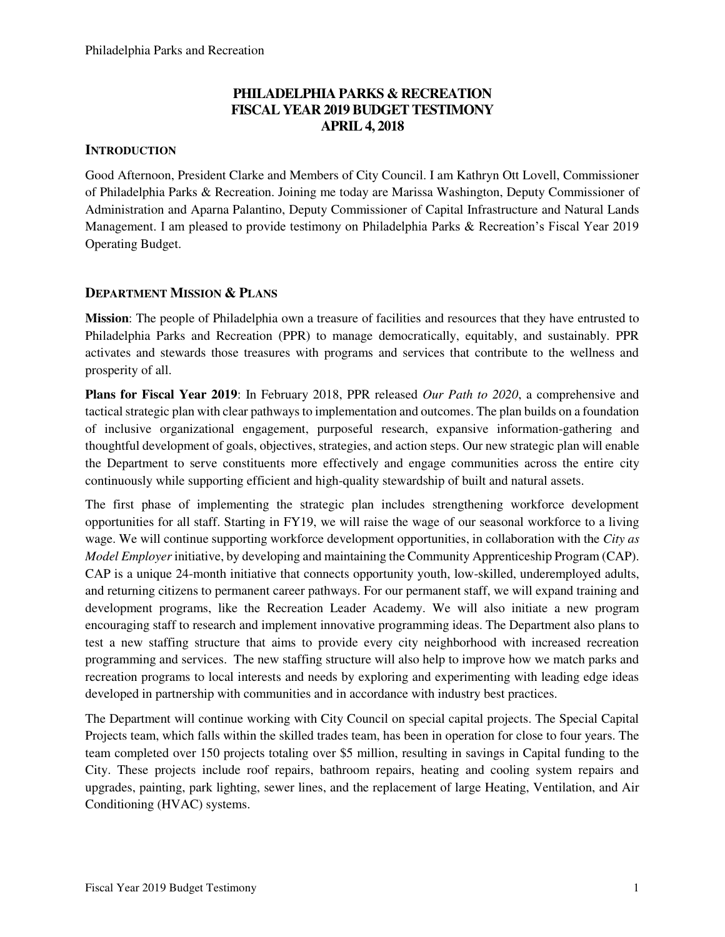# **PHILADELPHIA PARKS & RECREATION FISCAL YEAR 2019 BUDGET TESTIMONY APRIL 4, 2018**

# **INTRODUCTION**

Good Afternoon, President Clarke and Members of City Council. I am Kathryn Ott Lovell, Commissioner of Philadelphia Parks & Recreation. Joining me today are Marissa Washington, Deputy Commissioner of Administration and Aparna Palantino, Deputy Commissioner of Capital Infrastructure and Natural Lands Management. I am pleased to provide testimony on Philadelphia Parks & Recreation's Fiscal Year 2019 Operating Budget.

## **DEPARTMENT MISSION & PLANS**

**Mission**: The people of Philadelphia own a treasure of facilities and resources that they have entrusted to Philadelphia Parks and Recreation (PPR) to manage democratically, equitably, and sustainably. PPR activates and stewards those treasures with programs and services that contribute to the wellness and prosperity of all.

**Plans for Fiscal Year 2019**: In February 2018, PPR released *Our Path to 2020*, a comprehensive and tactical strategic plan with clear pathways to implementation and outcomes. The plan builds on a foundation of inclusive organizational engagement, purposeful research, expansive information-gathering and thoughtful development of goals, objectives, strategies, and action steps. Our new strategic plan will enable the Department to serve constituents more effectively and engage communities across the entire city continuously while supporting efficient and high-quality stewardship of built and natural assets.

The first phase of implementing the strategic plan includes strengthening workforce development opportunities for all staff. Starting in FY19, we will raise the wage of our seasonal workforce to a living wage. We will continue supporting workforce development opportunities, in collaboration with the *City as Model Employer* initiative, by developing and maintaining the Community Apprenticeship Program (CAP). CAP is a unique 24-month initiative that connects opportunity youth, low-skilled, underemployed adults, and returning citizens to permanent career pathways. For our permanent staff, we will expand training and development programs, like the Recreation Leader Academy. We will also initiate a new program encouraging staff to research and implement innovative programming ideas. The Department also plans to test a new staffing structure that aims to provide every city neighborhood with increased recreation programming and services. The new staffing structure will also help to improve how we match parks and recreation programs to local interests and needs by exploring and experimenting with leading edge ideas developed in partnership with communities and in accordance with industry best practices.

The Department will continue working with City Council on special capital projects. The Special Capital Projects team, which falls within the skilled trades team, has been in operation for close to four years. The team completed over 150 projects totaling over \$5 million, resulting in savings in Capital funding to the City. These projects include roof repairs, bathroom repairs, heating and cooling system repairs and upgrades, painting, park lighting, sewer lines, and the replacement of large Heating, Ventilation, and Air Conditioning (HVAC) systems.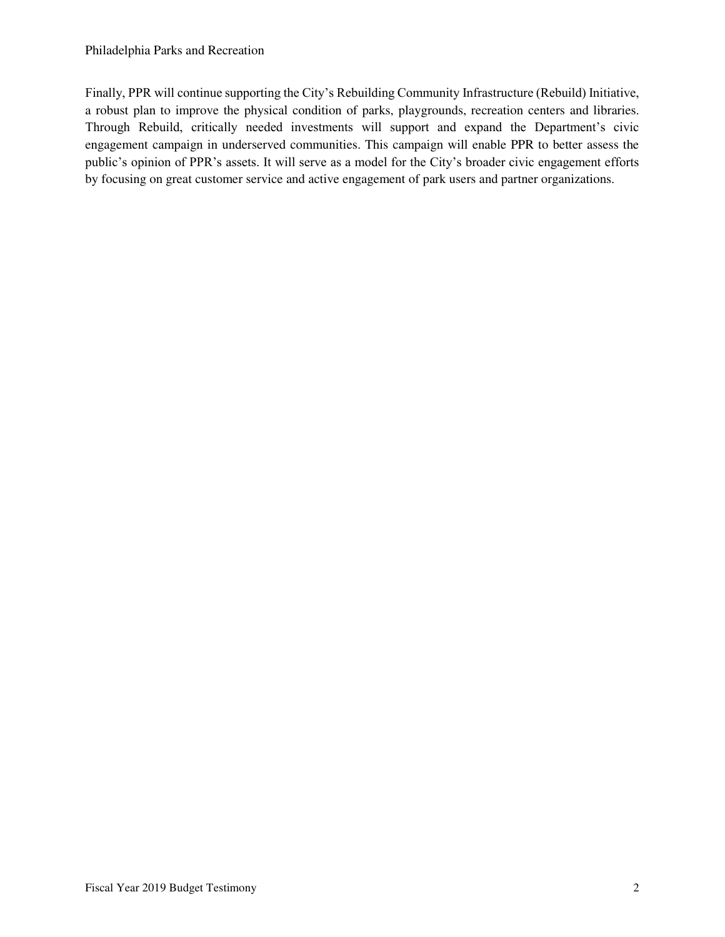### Philadelphia Parks and Recreation

Finally, PPR will continue supporting the City's Rebuilding Community Infrastructure (Rebuild) Initiative, a robust plan to improve the physical condition of parks, playgrounds, recreation centers and libraries. Through Rebuild, critically needed investments will support and expand the Department's civic engagement campaign in underserved communities. This campaign will enable PPR to better assess the public's opinion of PPR's assets. It will serve as a model for the City's broader civic engagement efforts by focusing on great customer service and active engagement of park users and partner organizations.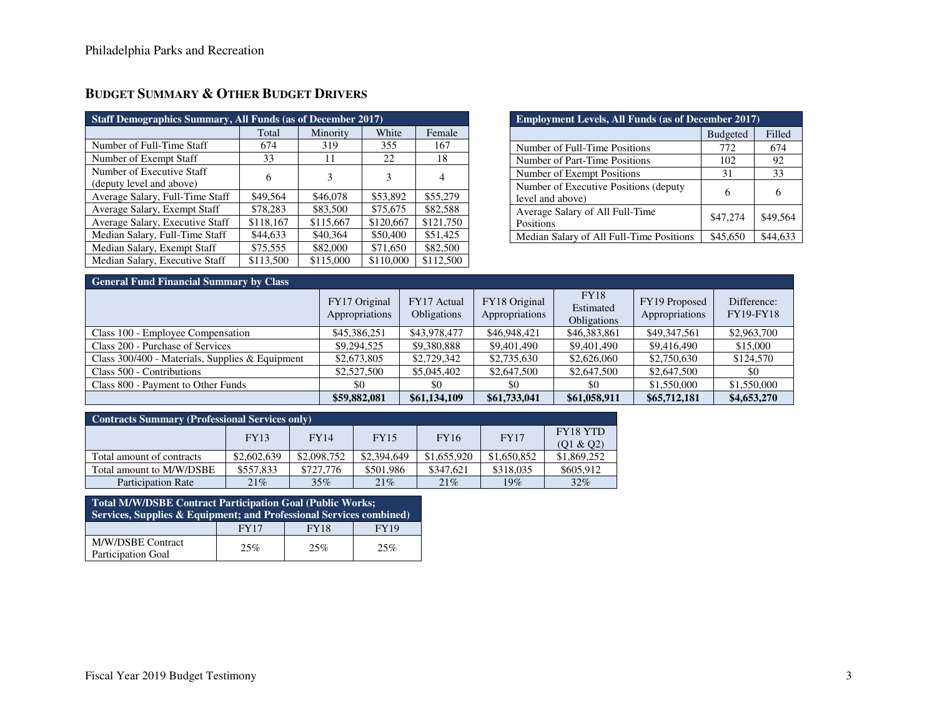| <b>Staff Demographics Summary, All Funds (as of December 2017)</b> |           |           |           |           |  |  |  |  |  |
|--------------------------------------------------------------------|-----------|-----------|-----------|-----------|--|--|--|--|--|
|                                                                    | Total     | Minority  | White     | Female    |  |  |  |  |  |
| Number of Full-Time Staff                                          | 674       | 319       | 355       | 167       |  |  |  |  |  |
| Number of Exempt Staff                                             | 33        | 11        | 22        | 18        |  |  |  |  |  |
| Number of Executive Staff                                          | 6         | 3         | 3         | 4         |  |  |  |  |  |
| (deputy level and above)                                           |           |           |           |           |  |  |  |  |  |
| Average Salary, Full-Time Staff                                    | \$49,564  | \$46,078  | \$53,892  | \$55,279  |  |  |  |  |  |
| Average Salary, Exempt Staff                                       | \$78,283  | \$83,500  | \$75,675  | \$82,588  |  |  |  |  |  |
| Average Salary, Executive Staff                                    | \$118,167 | \$115,667 | \$120,667 | \$121,750 |  |  |  |  |  |
| Median Salary, Full-Time Staff                                     | \$44,633  | \$40,364  | \$50,400  | \$51.425  |  |  |  |  |  |
| Median Salary, Exempt Staff                                        | \$75,555  | \$82,000  | \$71,650  | \$82,500  |  |  |  |  |  |
| Median Salary, Executive Staff                                     | \$113,500 | \$115,000 | \$110,000 | \$112,500 |  |  |  |  |  |

# **BUDGET SUMMARY & OTHER BUDGET DRIVERS**

| <b>Employment Levels, All Funds (as of December 2017)</b>  |          |          |  |  |  |  |  |
|------------------------------------------------------------|----------|----------|--|--|--|--|--|
| <b>Budgeted</b><br>Filled                                  |          |          |  |  |  |  |  |
| Number of Full-Time Positions                              | 772      | 674      |  |  |  |  |  |
| Number of Part-Time Positions                              | 102      | 92       |  |  |  |  |  |
| Number of Exempt Positions                                 | 31       | 33       |  |  |  |  |  |
| Number of Executive Positions (deputy)<br>level and above) | 6        | 6        |  |  |  |  |  |
| Average Salary of All Full-Time<br>Positions               | \$47,274 | \$49,564 |  |  |  |  |  |
| Median Salary of All Full-Time Positions                   | \$45,650 | \$44.633 |  |  |  |  |  |

| <b>General Fund Financial Summary by Class</b>  |                                 |                                   |                                 |                                         |                                 |                                 |  |  |  |
|-------------------------------------------------|---------------------------------|-----------------------------------|---------------------------------|-----------------------------------------|---------------------------------|---------------------------------|--|--|--|
|                                                 | FY17 Original<br>Appropriations | FY17 Actual<br><b>Obligations</b> | FY18 Original<br>Appropriations | <b>FY18</b><br>Estimated<br>Obligations | FY19 Proposed<br>Appropriations | Difference:<br><b>FY19-FY18</b> |  |  |  |
| Class 100 - Employee Compensation               | \$45,386,251                    | \$43,978,477                      | \$46,948,421                    | \$46,383,861                            | \$49,347,561                    | \$2,963,700                     |  |  |  |
| Class 200 - Purchase of Services                | \$9,294,525                     | \$9,380,888                       | \$9,401,490                     | \$9,401,490                             | \$9,416,490                     | \$15,000                        |  |  |  |
| Class 300/400 - Materials, Supplies & Equipment | \$2,673,805                     | \$2,729,342                       | \$2,735,630                     | \$2,626,060                             | \$2,750,630                     | \$124,570                       |  |  |  |
| Class 500 - Contributions                       | \$2,527,500                     | \$5,045,402                       | \$2,647,500                     | \$2,647,500                             | \$2,647,500                     | \$0                             |  |  |  |
| Class 800 - Payment to Other Funds              | \$0                             | \$0                               | \$0                             | \$0                                     | \$1,550,000                     | \$1,550,000                     |  |  |  |
|                                                 | \$59,882,081                    | \$61,134,109                      | \$61,733,041                    | \$61,058,911                            | \$65,712,181                    | \$4,653,270                     |  |  |  |

| <b>Contracts Summary (Professional Services only)</b> |             |             |             |             |             |             |  |  |  |
|-------------------------------------------------------|-------------|-------------|-------------|-------------|-------------|-------------|--|--|--|
|                                                       | FY13        | FY14        | <b>FY15</b> | <b>FY16</b> | <b>FY17</b> | FY18 YTD    |  |  |  |
|                                                       |             |             |             |             |             | (01 & 02)   |  |  |  |
| Total amount of contracts                             | \$2,602,639 | \$2,098,752 | \$2,394,649 | \$1,655,920 | \$1,650,852 | \$1,869,252 |  |  |  |
| Total amount to M/W/DSBE                              | \$557.833   | \$727,776   | \$501.986   | \$347.621   | \$318,035   | \$605,912   |  |  |  |
| <b>Participation Rate</b>                             | 21%         | 35%         | 21%         | 21%         | $19\%$      | 32%         |  |  |  |

| Total M/W/DSBE Contract Participation Goal (Public Works;<br><b>Services, Supplies &amp; Equipment; and Professional Services combined)</b> |             |             |             |  |  |  |  |
|---------------------------------------------------------------------------------------------------------------------------------------------|-------------|-------------|-------------|--|--|--|--|
|                                                                                                                                             | <b>FY17</b> | <b>FY18</b> | <b>FY19</b> |  |  |  |  |
| M/W/DSBE Contract<br>Participation Goal                                                                                                     | 25%         | 25%         | 25%         |  |  |  |  |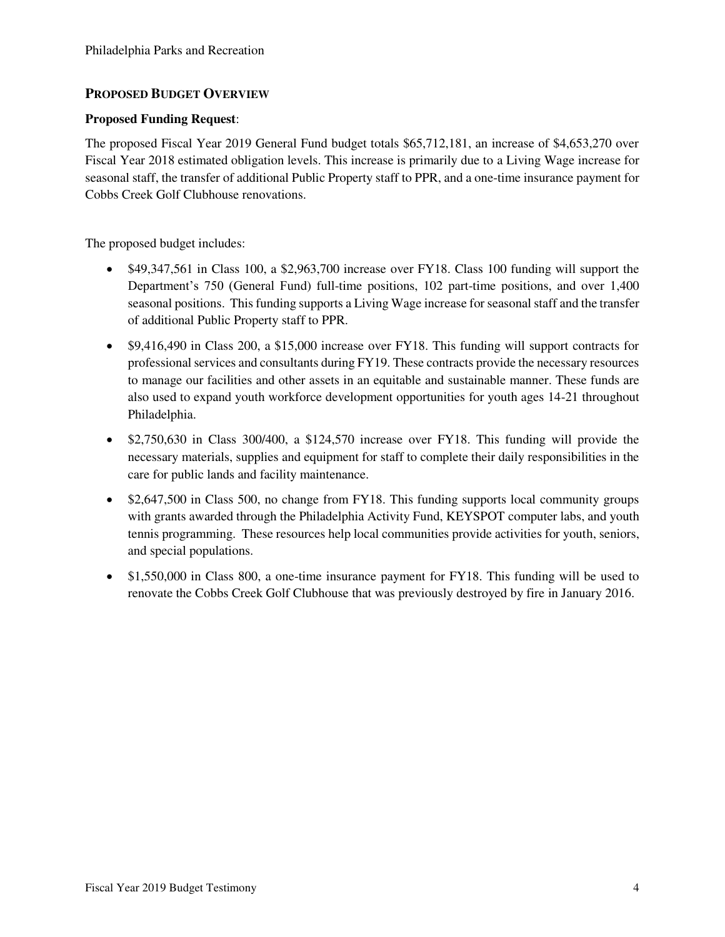## **PROPOSED BUDGET OVERVIEW**

### **Proposed Funding Request**:

The proposed Fiscal Year 2019 General Fund budget totals \$65,712,181, an increase of \$4,653,270 over Fiscal Year 2018 estimated obligation levels. This increase is primarily due to a Living Wage increase for seasonal staff, the transfer of additional Public Property staff to PPR, and a one-time insurance payment for Cobbs Creek Golf Clubhouse renovations.

The proposed budget includes:

- \$49,347,561 in Class 100, a \$2,963,700 increase over FY18. Class 100 funding will support the Department's 750 (General Fund) full-time positions, 102 part-time positions, and over 1,400 seasonal positions. This funding supports a Living Wage increase for seasonal staff and the transfer of additional Public Property staff to PPR.
- \$9,416,490 in Class 200, a \$15,000 increase over FY18. This funding will support contracts for professional services and consultants during FY19. These contracts provide the necessary resources to manage our facilities and other assets in an equitable and sustainable manner. These funds are also used to expand youth workforce development opportunities for youth ages 14-21 throughout Philadelphia.
- \$2,750,630 in Class 300/400, a \$124,570 increase over FY18. This funding will provide the necessary materials, supplies and equipment for staff to complete their daily responsibilities in the care for public lands and facility maintenance.
- \$2,647,500 in Class 500, no change from FY18. This funding supports local community groups with grants awarded through the Philadelphia Activity Fund, KEYSPOT computer labs, and youth tennis programming. These resources help local communities provide activities for youth, seniors, and special populations.
- \$1,550,000 in Class 800, a one-time insurance payment for FY18. This funding will be used to renovate the Cobbs Creek Golf Clubhouse that was previously destroyed by fire in January 2016.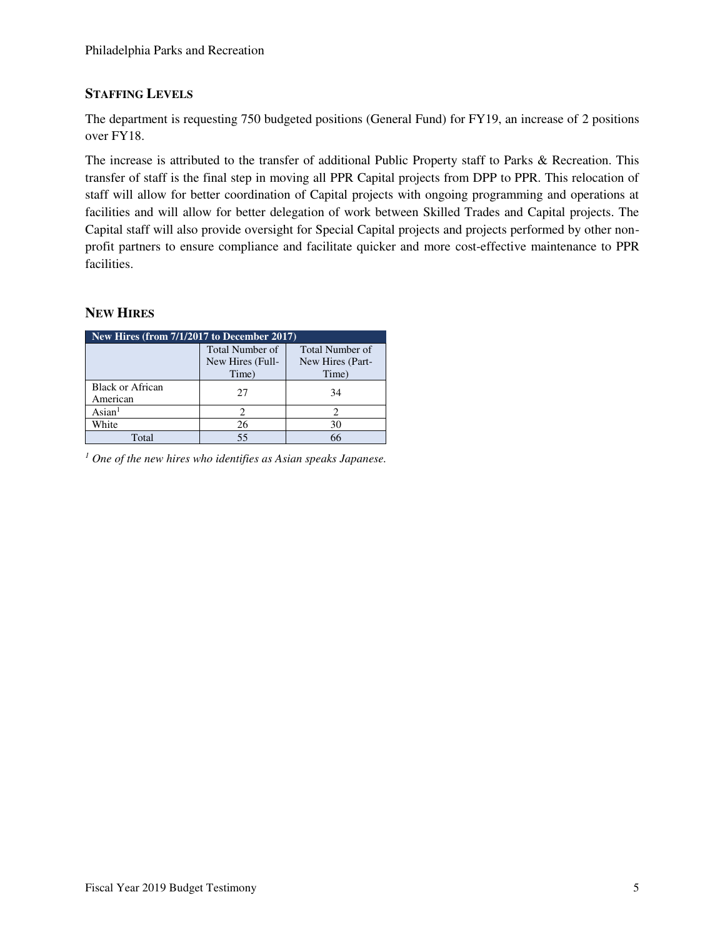# **STAFFING LEVELS**

The department is requesting 750 budgeted positions (General Fund) for FY19, an increase of 2 positions over FY18.

The increase is attributed to the transfer of additional Public Property staff to Parks & Recreation. This transfer of staff is the final step in moving all PPR Capital projects from DPP to PPR. This relocation of staff will allow for better coordination of Capital projects with ongoing programming and operations at facilities and will allow for better delegation of work between Skilled Trades and Capital projects. The Capital staff will also provide oversight for Special Capital projects and projects performed by other nonprofit partners to ensure compliance and facilitate quicker and more cost-effective maintenance to PPR facilities.

## **NEW HIRES**

| New Hires (from 7/1/2017 to December 2017) |                  |                        |  |  |  |  |  |  |  |
|--------------------------------------------|------------------|------------------------|--|--|--|--|--|--|--|
|                                            | Total Number of  | <b>Total Number of</b> |  |  |  |  |  |  |  |
|                                            | New Hires (Full- | New Hires (Part-       |  |  |  |  |  |  |  |
|                                            | Time)            | Time)                  |  |  |  |  |  |  |  |
| <b>Black or African</b>                    | 27               | 34                     |  |  |  |  |  |  |  |
| American                                   |                  |                        |  |  |  |  |  |  |  |
| $\text{Asian}^1$                           |                  |                        |  |  |  |  |  |  |  |
| White                                      | 26               | 30                     |  |  |  |  |  |  |  |
| Total                                      | 55               | 66                     |  |  |  |  |  |  |  |

*1 One of the new hires who identifies as Asian speaks Japanese.*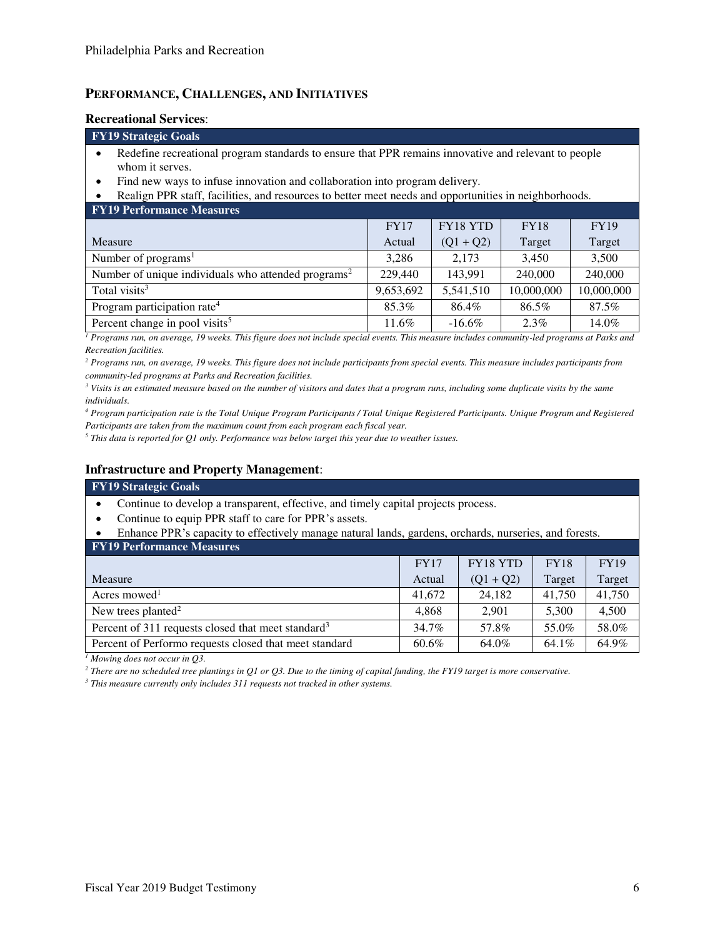## **PERFORMANCE, CHALLENGES, AND INITIATIVES**

#### **Recreational Services**:

#### **FY19 Strategic Goals**

- Redefine recreational program standards to ensure that PPR remains innovative and relevant to people whom it serves.
- Find new ways to infuse innovation and collaboration into program delivery.

• Realign PPR staff, facilities, and resources to better meet needs and opportunities in neighborhoods.

**FY19 Performance Measures** 

| T T T T T AT LOT THAT AND THE CHANGE ON                         |             |             |             |             |
|-----------------------------------------------------------------|-------------|-------------|-------------|-------------|
|                                                                 | <b>FY17</b> | FY18 YTD    | <b>FY18</b> | <b>FY19</b> |
| Measure                                                         | Actual      | $(Q1 + Q2)$ | Target      | Target      |
| Number of programs <sup>1</sup>                                 | 3.286       | 2.173       | 3.450       | 3,500       |
| Number of unique individuals who attended programs <sup>2</sup> | 229,440     | 143,991     | 240,000     | 240,000     |
| Total visits <sup>3</sup>                                       | 9,653,692   | 5,541,510   | 10,000,000  | 10,000,000  |
| Program participation rate <sup>4</sup>                         | 85.3%       | 86.4%       | 86.5%       | 87.5%       |
| Percent change in pool visits <sup>5</sup>                      | 11.6%       | $-16.6\%$   | $2.3\%$     | 14.0%       |

*1 Programs run, on average, 19 weeks. This figure does not include special events. This measure includes community-led programs at Parks and Recreation facilities.* 

<sup>2</sup> Programs run, on average, 19 weeks. This figure does not include participants from special events. This measure includes participants from *community-led programs at Parks and Recreation facilities.* 

*3 Visits is an estimated measure based on the number of visitors and dates that a program runs, including some duplicate visits by the same individuals.* 

*4 Program participation rate is the Total Unique Program Participants / Total Unique Registered Participants. Unique Program and Registered Participants are taken from the maximum count from each program each fiscal year.* 

*5 This data is reported for Q1 only. Performance was below target this year due to weather issues.*

### **Infrastructure and Property Management**:

#### **FY19 Strategic Goals**

- Continue to develop a transparent, effective, and timely capital projects process.
- Continue to equip PPR staff to care for PPR's assets.
- Enhance PPR's capacity to effectively manage natural lands, gardens, orchards, nurseries, and forests.

| <b>FY19 Performance Measures</b>                               |             |             |             |             |  |  |  |  |  |
|----------------------------------------------------------------|-------------|-------------|-------------|-------------|--|--|--|--|--|
|                                                                | <b>FY17</b> | FY18 YTD    | <b>FY18</b> | <b>FY19</b> |  |  |  |  |  |
| Measure                                                        | Actual      | $(Q1 + Q2)$ | Target      | Target      |  |  |  |  |  |
| Acres mowed <sup>1</sup>                                       | 41,672      | 24,182      | 41,750      | 41,750      |  |  |  |  |  |
| New trees planted <sup>2</sup>                                 | 4.868       | 2,901       | 5,300       | 4,500       |  |  |  |  |  |
| Percent of 311 requests closed that meet standard <sup>3</sup> | 34.7%       | 57.8%       | 55.0%       | 58.0%       |  |  |  |  |  |
| Percent of Performo requests closed that meet standard         | 60.6%       | 64.0%       | 64.1%       | 64.9%       |  |  |  |  |  |

*1 Mowing does not occur in Q3.* 

*2 There are no scheduled tree plantings in Q1 or Q3. Due to the timing of capital funding, the FY19 target is more conservative.* 

*3 This measure currently only includes 311 requests not tracked in other systems.*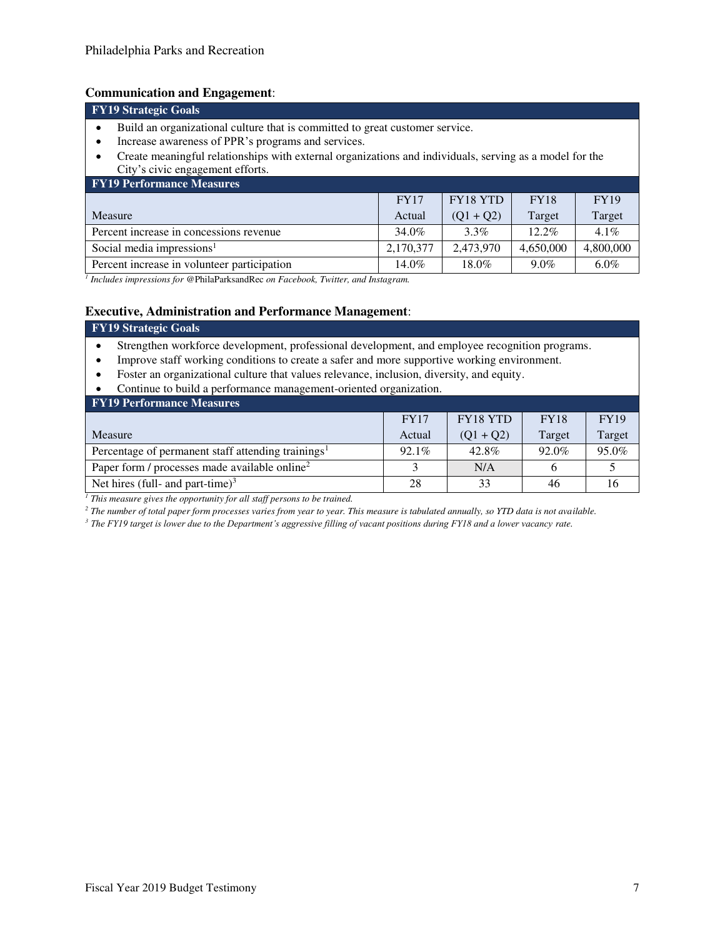# **Communication and Engagement**:

| Communication and Engagement.                                                                                                                                                                                                                                                                                            |             |             |             |             |  |  |  |  |
|--------------------------------------------------------------------------------------------------------------------------------------------------------------------------------------------------------------------------------------------------------------------------------------------------------------------------|-------------|-------------|-------------|-------------|--|--|--|--|
| <b>FY19 Strategic Goals</b>                                                                                                                                                                                                                                                                                              |             |             |             |             |  |  |  |  |
| Build an organizational culture that is committed to great customer service.<br>$\bullet$<br>Increase awareness of PPR's programs and services.<br>$\bullet$<br>Create meaningful relationships with external organizations and individuals, serving as a model for the<br>$\bullet$<br>City's civic engagement efforts. |             |             |             |             |  |  |  |  |
| <b>FY19 Performance Measures</b>                                                                                                                                                                                                                                                                                         |             |             |             |             |  |  |  |  |
|                                                                                                                                                                                                                                                                                                                          | <b>FY17</b> | FY18 YTD    | <b>FY18</b> | <b>FY19</b> |  |  |  |  |
| Measure                                                                                                                                                                                                                                                                                                                  | Actual      | $(Q1 + Q2)$ | Target      | Target      |  |  |  |  |
| Percent increase in concessions revenue                                                                                                                                                                                                                                                                                  | 34.0%       | $3.3\%$     | $12.2\%$    | $4.1\%$     |  |  |  |  |
| Social media impressions <sup>1</sup>                                                                                                                                                                                                                                                                                    | 2,170,377   | 2,473,970   | 4,650,000   | 4,800,000   |  |  |  |  |
| Percent increase in volunteer participation                                                                                                                                                                                                                                                                              | 14.0%       | 18.0%       | $9.0\%$     | $6.0\%$     |  |  |  |  |

*1 Includes impressions for* @PhilaParksandRec *on Facebook, Twitter, and Instagram.* 

#### **Executive, Administration and Performance Management**:

| <b>FY19 Strategic Goals</b> |  |
|-----------------------------|--|
|                             |  |

- Strengthen workforce development, professional development, and employee recognition programs.
- Improve staff working conditions to create a safer and more supportive working environment.
- Foster an organizational culture that values relevance, inclusion, diversity, and equity.
- Continue to build a performance management-oriented organization.

| <b>FY19 Performance Measures</b>                               |             |                 |             |             |  |  |  |  |  |
|----------------------------------------------------------------|-------------|-----------------|-------------|-------------|--|--|--|--|--|
|                                                                | <b>FY17</b> | <b>FY18 YTD</b> | <b>FY18</b> | <b>FY19</b> |  |  |  |  |  |
| Measure                                                        | Actual      | $(Q1 + Q2)$     | Target      | Target      |  |  |  |  |  |
| Percentage of permanent staff attending trainings <sup>1</sup> | $92.1\%$    | 42.8%           | 92.0%       | 95.0%       |  |  |  |  |  |
| Paper form / processes made available online <sup>2</sup>      |             | N/A             |             |             |  |  |  |  |  |
| Net hires (full- and part-time) <sup>3</sup>                   | 28          | 33              | 46          |             |  |  |  |  |  |

<sup>1</sup> This measure gives the opportunity for all staff persons to be trained.

*2 The number of total paper form processes varies from year to year. This measure is tabulated annually, so YTD data is not available.* 

*<sup>3</sup> The FY19 target is lower due to the Department's aggressive filling of vacant positions during FY18 and a lower vacancy rate.*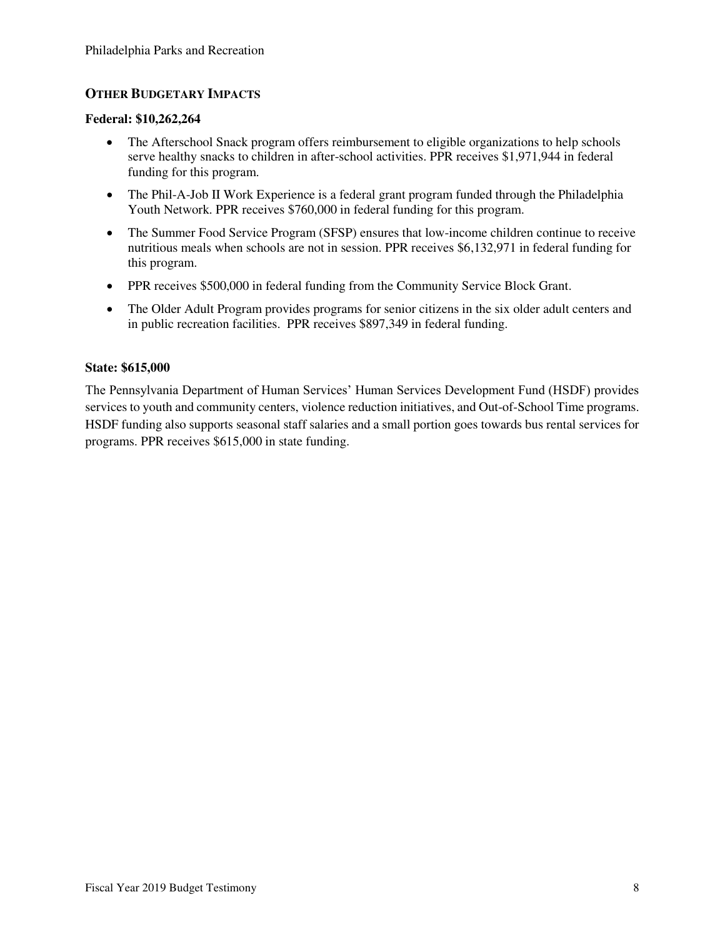## **OTHER BUDGETARY IMPACTS**

#### **Federal: \$10,262,264**

- The Afterschool Snack program offers reimbursement to eligible organizations to help schools serve healthy snacks to children in after-school activities. PPR receives \$1,971,944 in federal funding for this program.
- The Phil-A-Job II Work Experience is a federal grant program funded through the Philadelphia Youth Network. PPR receives \$760,000 in federal funding for this program.
- The Summer Food Service Program (SFSP) ensures that low-income children continue to receive nutritious meals when schools are not in session. PPR receives \$6,132,971 in federal funding for this program.
- PPR receives \$500,000 in federal funding from the Community Service Block Grant.
- The Older Adult Program provides programs for senior citizens in the six older adult centers and in public recreation facilities. PPR receives \$897,349 in federal funding.

### **State: \$615,000**

The Pennsylvania Department of Human Services' Human Services Development Fund (HSDF) provides services to youth and community centers, violence reduction initiatives, and Out-of-School Time programs. HSDF funding also supports seasonal staff salaries and a small portion goes towards bus rental services for programs. PPR receives \$615,000 in state funding.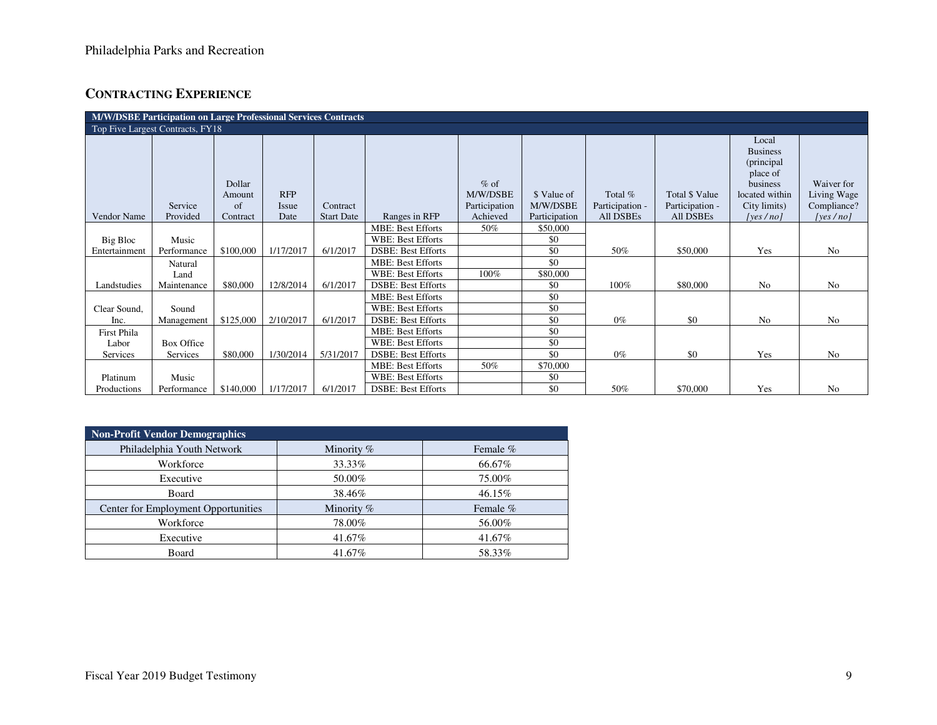# **CONTRACTING EXPERIENCE**

| M/W/DSBE Participation on Large Professional Services Contracts |                                  |           |            |                   |                           |               |               |                 |                 |                 |                |
|-----------------------------------------------------------------|----------------------------------|-----------|------------|-------------------|---------------------------|---------------|---------------|-----------------|-----------------|-----------------|----------------|
|                                                                 | Top Five Largest Contracts, FY18 |           |            |                   |                           |               |               |                 |                 |                 |                |
|                                                                 |                                  |           |            |                   |                           |               |               |                 |                 | Local           |                |
|                                                                 |                                  |           |            |                   |                           |               |               |                 |                 | <b>Business</b> |                |
|                                                                 |                                  |           |            |                   |                           |               |               |                 |                 | (principal      |                |
|                                                                 |                                  |           |            |                   |                           |               |               |                 |                 | place of        |                |
|                                                                 |                                  | Dollar    |            |                   |                           | $%$ of        |               |                 |                 | business        | Waiver for     |
|                                                                 |                                  | Amount    | <b>RFP</b> |                   |                           | M/W/DSBE      | \$ Value of   | Total %         | Total \$ Value  | located within  | Living Wage    |
|                                                                 | Service                          | of        | Issue      | Contract          |                           | Participation | M/W/DSBE      | Participation - | Participation - | City limits)    | Compliance?    |
| Vendor Name                                                     | Provided                         | Contract  | Date       | <b>Start Date</b> | Ranges in RFP             | Achieved      | Participation | All DSBEs       | All DSBEs       | [yes $/no$ ]    | [yes/no]       |
|                                                                 |                                  |           |            |                   | <b>MBE: Best Efforts</b>  | 50%           | \$50,000      |                 |                 |                 |                |
| Big Bloc                                                        | Music                            |           |            |                   | <b>WBE: Best Efforts</b>  |               | \$0           |                 |                 |                 |                |
| Entertainment                                                   | Performance                      | \$100,000 | 1/17/2017  | 6/1/2017          | <b>DSBE: Best Efforts</b> |               | \$0           | 50%             | \$50,000        | Yes             | N <sub>o</sub> |
|                                                                 | Natural                          |           |            |                   | <b>MBE: Best Efforts</b>  |               | \$0           |                 |                 |                 |                |
|                                                                 | Land                             |           |            |                   | <b>WBE: Best Efforts</b>  | 100%          | \$80,000      |                 |                 |                 |                |
| Landstudies                                                     | Maintenance                      | \$80,000  | 12/8/2014  | 6/1/2017          | <b>DSBE: Best Efforts</b> |               | \$0           | 100%            | \$80,000        | No              | N <sub>o</sub> |
|                                                                 |                                  |           |            |                   | <b>MBE: Best Efforts</b>  |               | \$0           |                 |                 |                 |                |
| Clear Sound,                                                    | Sound                            |           |            |                   | <b>WBE: Best Efforts</b>  |               | \$0           |                 |                 |                 |                |
| Inc.                                                            | Management                       | \$125,000 | 2/10/2017  | 6/1/2017          | <b>DSBE: Best Efforts</b> |               | \$0           | $0\%$           | \$0             | N <sub>o</sub>  | N <sub>o</sub> |
| First Phila                                                     |                                  |           |            |                   | <b>MBE: Best Efforts</b>  |               | \$0           |                 |                 |                 |                |
| Labor                                                           | Box Office                       |           |            |                   | <b>WBE: Best Efforts</b>  |               | \$0           |                 |                 |                 |                |
| Services                                                        | Services                         | \$80,000  | 1/30/2014  | 5/31/2017         | <b>DSBE: Best Efforts</b> |               | \$0           | $0\%$           | \$0             | Yes             | N <sub>o</sub> |
|                                                                 |                                  |           |            |                   | <b>MBE: Best Efforts</b>  | 50%           | \$70,000      |                 |                 |                 |                |
| Platinum                                                        | Music                            |           |            |                   | <b>WBE: Best Efforts</b>  |               | \$0           |                 |                 |                 |                |
| Productions                                                     | Performance                      | \$140,000 | 1/17/2017  | 6/1/2017          | <b>DSBE: Best Efforts</b> |               | \$0           | 50%             | \$70,000        | Yes             | N <sub>0</sub> |

| <b>Non-Profit Vendor Demographics</b> |            |          |  |  |  |  |
|---------------------------------------|------------|----------|--|--|--|--|
| Philadelphia Youth Network            | Minority % | Female % |  |  |  |  |
| Workforce                             | 33.33%     | 66.67%   |  |  |  |  |
| Executive                             | 50.00%     | 75.00%   |  |  |  |  |
| Board                                 | 38.46%     | 46.15%   |  |  |  |  |
| Center for Employment Opportunities   | Minority % | Female % |  |  |  |  |
| Workforce                             | 78.00%     | 56.00%   |  |  |  |  |
| Executive                             | 41.67%     | 41.67%   |  |  |  |  |
| Board                                 | 41.67%     | 58.33%   |  |  |  |  |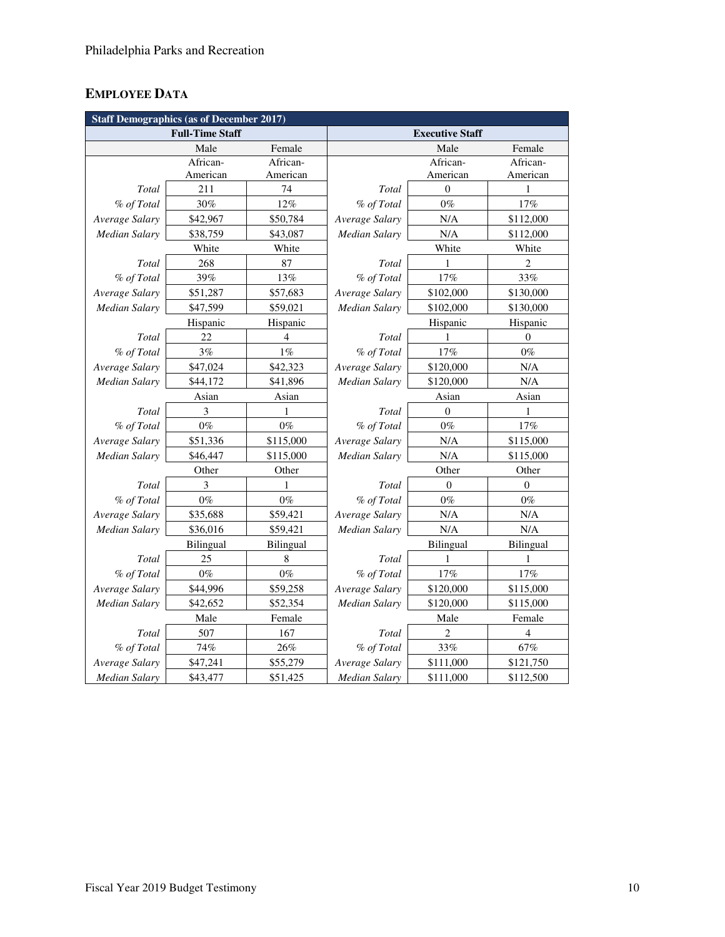# **EMPLOYEE DATA**

| <b>Staff Demographics (as of December 2017)</b> |          |                      |                        |           |                |  |
|-------------------------------------------------|----------|----------------------|------------------------|-----------|----------------|--|
| <b>Full-Time Staff</b>                          |          |                      | <b>Executive Staff</b> |           |                |  |
|                                                 | Male     | Female               |                        | Male      | Female         |  |
|                                                 | African- | African-             |                        | African-  | African-       |  |
|                                                 | American | American             |                        | American  | American       |  |
| Total                                           | 211      | 74                   | Total                  | $\theta$  | 1              |  |
| % of Total                                      | 30%      | 12%                  | % of Total             | $0\%$     | 17%            |  |
| Average Salary                                  | \$42,967 | \$50,784             | Average Salary         | N/A       | \$112,000      |  |
| <b>Median Salary</b>                            | \$38,759 | \$43,087             | Median Salary          | N/A       | \$112,000      |  |
| White<br>White                                  |          |                      | White                  | White     |                |  |
| Total                                           | 268      | 87                   | Total                  | 1         | $\overline{c}$ |  |
| % of Total                                      | 39%      | 13%                  | % of Total             | 17%       | 33%            |  |
| Average Salary                                  | \$51,287 | \$57,683             | Average Salary         | \$102,000 | \$130,000      |  |
| Median Salary                                   | \$47,599 | \$59,021             | Median Salary          | \$102,000 | \$130,000      |  |
| Hispanic<br>Hispanic                            |          | Hispanic<br>Hispanic |                        |           |                |  |
| Total                                           | 22       | $\overline{4}$       | Total                  | 1         | $\Omega$       |  |
| % of Total                                      | 3%       | $1\%$                | % of Total             | 17%       | $0\%$          |  |
| Average Salary                                  | \$47,024 | \$42,323             | Average Salary         | \$120,000 | $\rm N/A$      |  |
| <b>Median Salary</b>                            | \$44,172 | \$41,896             | Median Salary          | \$120,000 | N/A            |  |
| Asian<br>Asian                                  |          |                      | Asian                  | Asian     |                |  |
| Total                                           | 3        | 1                    | Total                  | $\Omega$  | 1              |  |
| % of Total                                      | $0\%$    | $0\%$                | % of Total             | $0\%$     | $17\%$         |  |
| Average Salary                                  | \$51,336 | \$115,000            | Average Salary         | $\rm N/A$ | \$115,000      |  |
| Median Salary                                   | \$46,447 | \$115,000            | Median Salary          | N/A       | \$115,000      |  |
| Other<br>Other                                  |          | Other<br>Other       |                        |           |                |  |
| Total                                           | 3        | 1                    | Total                  | $\theta$  | $\theta$       |  |
| % of Total                                      | $0\%$    | $0\%$                | % of Total             | $0\%$     | $0\%$          |  |
| Average Salary                                  | \$35,688 | \$59,421             | Average Salary         | N/A       | N/A            |  |
| Median Salary                                   | \$36,016 | \$59,421             | Median Salary          | N/A       | N/A            |  |
| Bilingual<br>Bilingual                          |          |                      | Bilingual              | Bilingual |                |  |
| Total                                           | 25       | 8                    | Total                  | 1         | 1              |  |
| % of Total                                      | $0\%$    | $0\%$                | % of Total             | 17%       | 17%            |  |
| Average Salary                                  | \$44,996 | \$59,258             | Average Salary         | \$120,000 | \$115,000      |  |
| <b>Median Salary</b>                            | \$42,652 | \$52,354             | Median Salary          | \$120,000 | \$115,000      |  |
| Female<br>Male                                  |          |                      | Male                   | Female    |                |  |
| Total                                           | 507      | 167                  | Total                  | 2         | 4              |  |
| % of Total                                      | 74%      | $26\%$               | % of Total             | 33%       | 67%            |  |
| Average Salary                                  | \$47,241 | \$55,279             | Average Salary         | \$111,000 | \$121,750      |  |
| <b>Median Salary</b>                            | \$43,477 | \$51,425             | <b>Median Salary</b>   | \$111,000 | \$112,500      |  |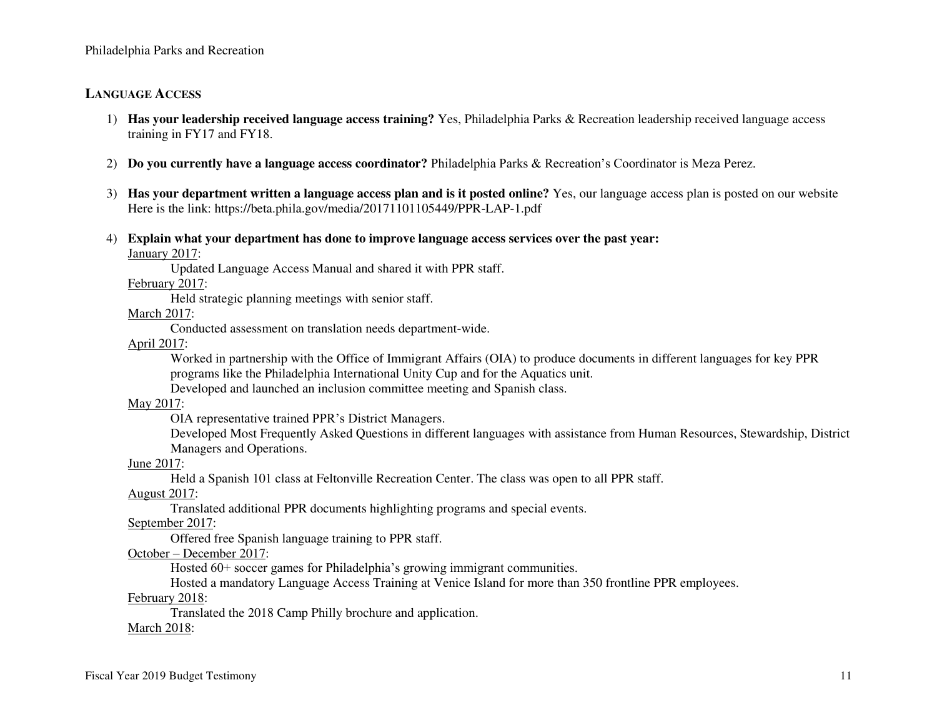## **LANGUAGE ACCESS**

- 1) **Has your leadership received language access training?** Yes, Philadelphia Parks & Recreation leadership received language access training in FY17 and FY18.
- 2) **Do you currently have a language access coordinator?** Philadelphia Parks & Recreation's Coordinator is Meza Perez.
- 3) **Has your department written a language access plan and is it posted online?** Yes, our language access plan is posted on our website Here is the link: https://beta.phila.gov/media/20171101105449/PPR-LAP-1.pdf
- 4) **Explain what your department has done to improve language access services over the past year:**

January 2017:

Updated Language Access Manual and shared it with PPR staff.

February 2017:

Held strategic planning meetings with senior staff.

March 2017:

Conducted assessment on translation needs department-wide.

April 2017:

Worked in partnership with the Office of Immigrant Affairs (OIA) to produce documents in different languages for key PPR programs like the Philadelphia International Unity Cup and for the Aquatics unit.

Developed and launched an inclusion committee meeting and Spanish class.

May 2017:

OIA representative trained PPR's District Managers.

Developed Most Frequently Asked Questions in different languages with assistance from Human Resources, Stewardship, District Managers and Operations.

June 2017:

Held a Spanish 101 class at Feltonville Recreation Center. The class was open to all PPR staff.

August 2017:

Translated additional PPR documents highlighting programs and special events.

September 2017:

Offered free Spanish language training to PPR staff.

October – December 2017:

Hosted 60+ soccer games for Philadelphia's growing immigrant communities.

Hosted a mandatory Language Access Training at Venice Island for more than 350 frontline PPR employees.

February 2018:

Translated the 2018 Camp Philly brochure and application.

**March 2018:**